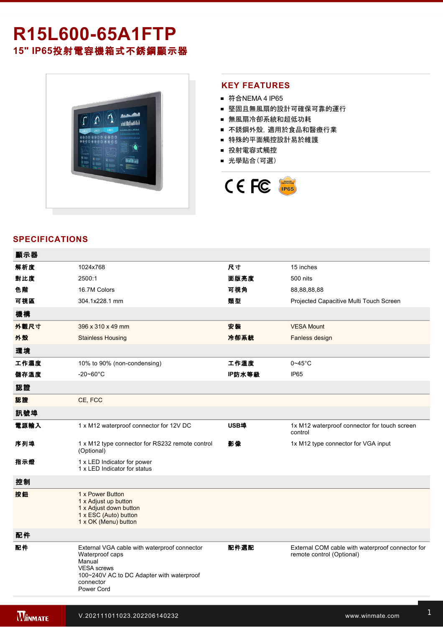# **R15L60065A1FTP 15" IP65**投射電容機箱式不銹鋼顯示器



## **KEY FEATURES**

- 符合NEMA 4 IP65
- 堅固且無風扇的設計可確保可靠的運行
- 無風扇冷卻系統和超低功耗
- 不銹鋼外殼,適用於食品和醫療行業
- 特殊的平面觸控設計易於維護
- 投射電容式觸控
- 光學貼合(可選)



## **SPECIFICATIONS**

| 顯示器  |                                                                                                                                                                         |        |                                                                               |
|------|-------------------------------------------------------------------------------------------------------------------------------------------------------------------------|--------|-------------------------------------------------------------------------------|
| 解析度  | 1024x768                                                                                                                                                                | 尺寸     | 15 inches                                                                     |
| 對比度  | 2500:1                                                                                                                                                                  | 面版亮度   | 500 nits                                                                      |
| 色階   | 16.7M Colors                                                                                                                                                            | 可視角    | 88,88,88,88                                                                   |
| 可視區  | 304.1x228.1 mm                                                                                                                                                          | 類型     | Projected Capacitive Multi Touch Screen                                       |
| 機構   |                                                                                                                                                                         |        |                                                                               |
| 外觀尺寸 | 396 x 310 x 49 mm                                                                                                                                                       | 安装     | <b>VESA Mount</b>                                                             |
| 外殼   | <b>Stainless Housing</b>                                                                                                                                                | 冷卻系統   | Fanless design                                                                |
| 環境   |                                                                                                                                                                         |        |                                                                               |
| 工作濕度 | 10% to 90% (non-condensing)                                                                                                                                             | 工作溫度   | $0 - 45$ °C                                                                   |
| 儲存溫度 | $-20 - 60^{\circ}$ C                                                                                                                                                    | IP防水等級 | IP <sub>65</sub>                                                              |
| 認證   |                                                                                                                                                                         |        |                                                                               |
| 認證   | CE, FCC                                                                                                                                                                 |        |                                                                               |
| 訊號埠  |                                                                                                                                                                         |        |                                                                               |
| 電源輸入 | 1 x M12 waterproof connector for 12V DC                                                                                                                                 | USB埠   | 1x M12 waterproof connector for touch screen<br>control                       |
| 序列埠  | 1 x M12 type connector for RS232 remote control<br>(Optional)                                                                                                           | 影像     | 1x M12 type connector for VGA input                                           |
| 指示燈  | 1 x LED Indicator for power<br>1 x LED Indicator for status                                                                                                             |        |                                                                               |
| 控制   |                                                                                                                                                                         |        |                                                                               |
| 按鈕   | 1 x Power Button<br>1 x Adjust up button<br>1 x Adjust down button<br>1 x ESC (Auto) button<br>1 x OK (Menu) button                                                     |        |                                                                               |
| 配件   |                                                                                                                                                                         |        |                                                                               |
| 配件   | External VGA cable with waterproof connector<br>Waterproof caps<br>Manual<br><b>VESA</b> screws<br>100~240V AC to DC Adapter with waterproof<br>connector<br>Power Cord | 配件選配   | External COM cable with waterproof connector for<br>remote control (Optional) |
|      |                                                                                                                                                                         |        |                                                                               |